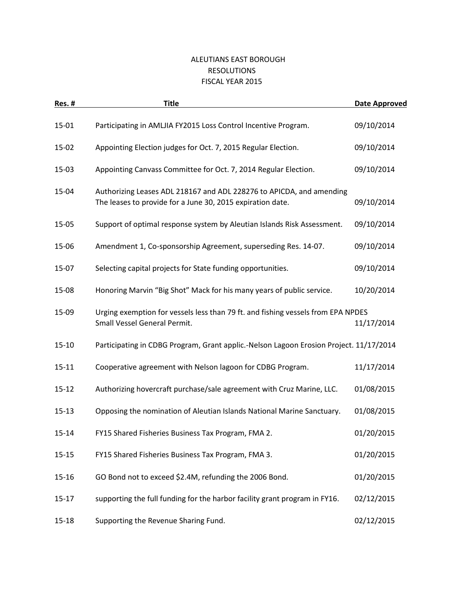## ALEUTIANS EAST BOROUGH RESOLUTIONS FISCAL YEAR 2015

| <b>Res. #</b> | <b>Title</b>                                                                                                                       | Date Approved |
|---------------|------------------------------------------------------------------------------------------------------------------------------------|---------------|
| 15-01         | Participating in AMLJIA FY2015 Loss Control Incentive Program.                                                                     | 09/10/2014    |
| 15-02         | Appointing Election judges for Oct. 7, 2015 Regular Election.                                                                      | 09/10/2014    |
| 15-03         | Appointing Canvass Committee for Oct. 7, 2014 Regular Election.                                                                    | 09/10/2014    |
| 15-04         | Authorizing Leases ADL 218167 and ADL 228276 to APICDA, and amending<br>The leases to provide for a June 30, 2015 expiration date. | 09/10/2014    |
| 15-05         | Support of optimal response system by Aleutian Islands Risk Assessment.                                                            | 09/10/2014    |
| 15-06         | Amendment 1, Co-sponsorship Agreement, superseding Res. 14-07.                                                                     | 09/10/2014    |
| 15-07         | Selecting capital projects for State funding opportunities.                                                                        | 09/10/2014    |
| 15-08         | Honoring Marvin "Big Shot" Mack for his many years of public service.                                                              | 10/20/2014    |
| 15-09         | Urging exemption for vessels less than 79 ft. and fishing vessels from EPA NPDES<br>Small Vessel General Permit.                   | 11/17/2014    |
| $15 - 10$     | Participating in CDBG Program, Grant applic.-Nelson Lagoon Erosion Project. 11/17/2014                                             |               |
| $15 - 11$     | Cooperative agreement with Nelson lagoon for CDBG Program.                                                                         | 11/17/2014    |
| $15 - 12$     | Authorizing hovercraft purchase/sale agreement with Cruz Marine, LLC.                                                              | 01/08/2015    |
| $15 - 13$     | Opposing the nomination of Aleutian Islands National Marine Sanctuary.                                                             | 01/08/2015    |
| $15 - 14$     | FY15 Shared Fisheries Business Tax Program, FMA 2.                                                                                 | 01/20/2015    |
| $15 - 15$     | FY15 Shared Fisheries Business Tax Program, FMA 3.                                                                                 | 01/20/2015    |
| $15 - 16$     | GO Bond not to exceed \$2.4M, refunding the 2006 Bond.                                                                             | 01/20/2015    |
| $15 - 17$     | supporting the full funding for the harbor facility grant program in FY16.                                                         | 02/12/2015    |
| $15 - 18$     | Supporting the Revenue Sharing Fund.                                                                                               | 02/12/2015    |